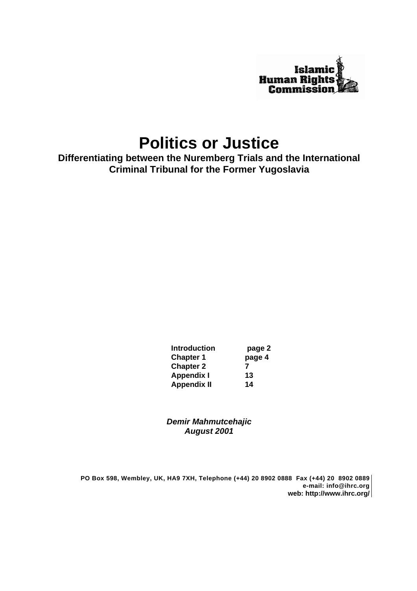

# **Politics or Justice**

**Differentiating between the Nuremberg Trials and the International Criminal Tribunal for the Former Yugoslavia**

> **Introduction page 2 Chapter 1 page 4 Chapter 2 7 Appendix I 13 Appendix II 14**

*Demir Mahmutcehajic August 2001*

**PO Box 598, Wembley, UK, HA9 7XH, Telephone (+44) 20 8902 0888 Fax (+44) 20 8902 0889 e-mail: info@ihrc.org web: http://www.ihrc.org/**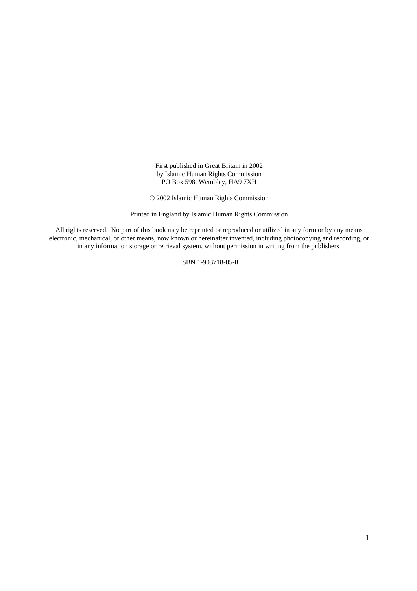First published in Great Britain in 2002 by Islamic Human Rights Commission PO Box 598, Wembley, HA9 7XH

© 2002 Islamic Human Rights Commission

Printed in England by Islamic Human Rights Commission

All rights reserved. No part of this book may be reprinted or reproduced or utilized in any form or by any means electronic, mechanical, or other means, now known or hereinafter invented, including photocopying and recording, or in any information storage or retrieval system, without permission in writing from the publishers.

ISBN 1-903718-05-8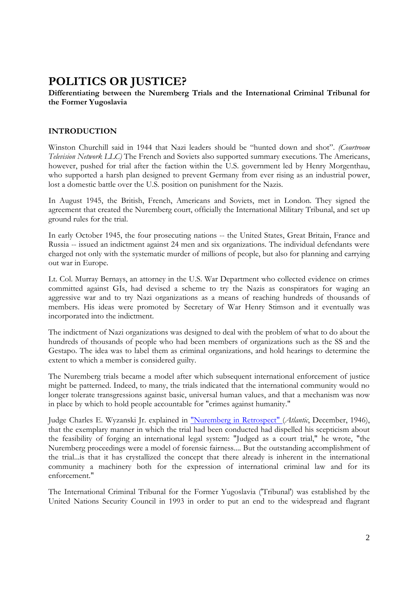## **POLITICS OR JUSTICE?**

#### **Differentiating between the Nuremberg Trials and the International Criminal Tribunal for the Former Yugoslavia**

### **INTRODUCTION**

Winston Churchill said in 1944 that Nazi leaders should be "hunted down and shot". *(Courtroom Television Network LLC)* The French and Soviets also supported summary executions. The Americans, however, pushed for trial after the faction within the U.S. government led by Henry Morgenthau, who supported a harsh plan designed to prevent Germany from ever rising as an industrial power, lost a domestic battle over the U.S. position on punishment for the Nazis.

In August 1945, the British, French, Americans and Soviets, met in London. They signed the agreement that created the Nuremberg court, officially the International Military Tribunal, and set up ground rules for the trial.

In early October 1945, the four prosecuting nations -- the United States, Great Britain, France and Russia -- issued an indictment against 24 men and six organizations. The individual defendants were charged not only with the systematic murder of millions of people, but also for planning and carrying out war in Europe.

Lt. Col. Murray Bernays, an attorney in the U.S. War Department who collected evidence on crimes committed against GIs, had devised a scheme to try the Nazis as conspirators for waging an aggressive war and to try Nazi organizations as a means of reaching hundreds of thousands of members. His ideas were promoted by Secretary of War Henry Stimson and it eventually was incorporated into the indictment.

The indictment of Nazi organizations was designed to deal with the problem of what to do about the hundreds of thousands of people who had been members of organizations such as the SS and the Gestapo. The idea was to label them as criminal organizations, and hold hearings to determine the extent to which a member is considered guilty.

The Nuremberg trials became a model after which subsequent international enforcement of justice might be patterned. Indeed, to many, the trials indicated that the international community would no longer tolerate transgressions against basic, universal human values, and that a mechanism was now in place by which to hold people accountable for "crimes against humanity."

Judge Charles E. Wyzanski Jr. explained in "Nuremberg in Retrospect" (*Atlantic*, December, 1946), that the exemplary manner in which the trial had been conducted had dispelled his scepticism about the feasibility of forging an international legal system: "Judged as a court trial," he wrote, "the Nuremberg proceedings were a model of forensic fairness.... But the outstanding accomplishment of the trial...is that it has crystallized the concept that there already is inherent in the international community a machinery both for the expression of international criminal law and for its enforcement."

The International Criminal Tribunal for the Former Yugoslavia ('Tribunal') was established by the United Nations Security Council in 1993 in order to put an end to the widespread and flagrant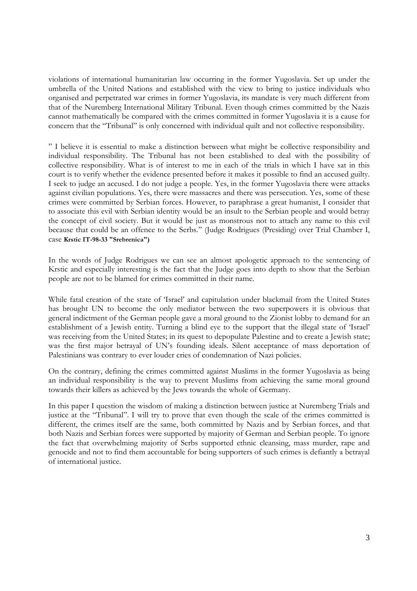violations of international humanitarian law occurring in the former Yugoslavia. Set up under the umbrella of the United Nations and established with the view to bring to justice individuals who organised and perpetrated war crimes in former Yugoslavia, its mandate is very much different from that of the Nuremberg International Military Tribunal. Even though crimes committed by the Nazis cannot mathematically be compared with the crimes committed in former Yugoslavia it is a cause for concern that the "Tribunal" is only concerned with individual quilt and not collective responsibility.

" I believe it is essential to make a distinction between what might be collective responsibility and individual responsibility. The Tribunal has not been established to deal with the possibility of collective responsibility. What is of interest to me in each of the trials in which I have sat in this court is to verify whether the evidence presented before it makes it possible to find an accused guilty. I seek to judge an accused. I do not judge a people. Yes, in the former Yugoslavia there were attacks against civilian populations. Yes, there were massacres and there was persecution. Yes, some of these crimes were committed by Serbian forces. However, to paraphrase a great humanist, I consider that to associate this evil with Serbian identity would be an insult to the Serbian people and would betray the concept of civil society. But it would be just as monstrous not to attach any name to this evil because that could be an offence to the Serbs." (Judge Rodrigues (Presiding) over Trial Chamber I, case **Krstic IT-98-33 "Srebrenica")**

In the words of Judge Rodrigues we can see an almost apologetic approach to the sentencing of Krstic and especially interesting is the fact that the Judge goes into depth to show that the Serbian people are not to be blamed for crimes committed in their name.

While fatal creation of the state of 'Israel' and capitulation under blackmail from the United States has brought UN to become the only mediator between the two superpowers it is obvious that general indictment of the German people gave a moral ground to the Zionist lobby to demand for an establishment of a Jewish entity. Turning a blind eye to the support that the illegal state of 'Israel' was receiving from the United States; in its quest to depopulate Palestine and to create a Jewish state; was the first major betrayal of UN's founding ideals. Silent acceptance of mass deportation of Palestinians was contrary to ever louder cries of condemnation of Nazi policies.

On the contrary, defining the crimes committed against Muslims in the former Yugoslavia as being an individual responsibility is the way to prevent Muslims from achieving the same moral ground towards their killers as achieved by the Jews towards the whole of Germany.

In this paper I question the wisdom of making a distinction between justice at Nuremberg Trials and justice at the "Tribunal". I will try to prove that even though the scale of the crimes committed is different, the crimes itself are the same, both committed by Nazis and by Serbian forces, and that both Nazis and Serbian forces were supported by majority of German and Serbian people. To ignore the fact that overwhelming majority of Serbs supported ethnic cleansing, mass murder, rape and genocide and not to find them accountable for being supporters of such crimes is defiantly a betrayal of international justice.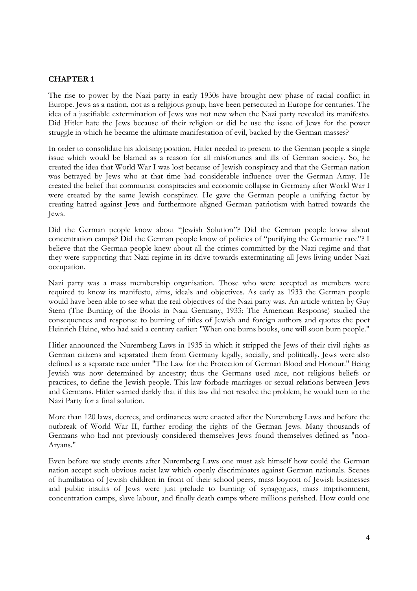#### **CHAPTER 1**

The rise to power by the Nazi party in early 1930s have brought new phase of racial conflict in Europe. Jews as a nation, not as a religious group, have been persecuted in Europe for centuries. The idea of a justifiable extermination of Jews was not new when the Nazi party revealed its manifesto. Did Hitler hate the Jews because of their religion or did he use the issue of Jews for the power struggle in which he became the ultimate manifestation of evil, backed by the German masses?

In order to consolidate his idolising position, Hitler needed to present to the German people a single issue which would be blamed as a reason for all misfortunes and ills of German society. So, he created the idea that World War I was lost because of Jewish conspiracy and that the German nation was betrayed by Jews who at that time had considerable influence over the German Army. He created the belief that communist conspiracies and economic collapse in Germany after World War I were created by the same Jewish conspiracy. He gave the German people a unifying factor by creating hatred against Jews and furthermore aligned German patriotism with hatred towards the Jews.

Did the German people know about "Jewish Solution"? Did the German people know about concentration camps? Did the German people know of policies of "purifying the Germanic race"? I believe that the German people knew about all the crimes committed by the Nazi regime and that they were supporting that Nazi regime in its drive towards exterminating all Jews living under Nazi occupation.

Nazi party was a mass membership organisation. Those who were accepted as members were required to know its manifesto, aims, ideals and objectives. As early as 1933 the German people would have been able to see what the real objectives of the Nazi party was. An article written by Guy Stern (The Burning of the Books in Nazi Germany, 1933: The American Response) studied the consequences and response to burning of titles of Jewish and foreign authors and quotes the poet Heinrich Heine, who had said a century earlier: "When one burns books, one will soon burn people."

Hitler announced the Nuremberg Laws in 1935 in which it stripped the Jews of their civil rights as German citizens and separated them from Germany legally, socially, and politically. Jews were also defined as a separate race under "The Law for the Protection of German Blood and Honour." Being Jewish was now determined by ancestry; thus the Germans used race, not religious beliefs or practices, to define the Jewish people. This law forbade marriages or sexual relations between Jews and Germans. Hitler warned darkly that if this law did not resolve the problem, he would turn to the Nazi Party for a final solution.

More than 120 laws, decrees, and ordinances were enacted after the Nuremberg Laws and before the outbreak of World War II, further eroding the rights of the German Jews. Many thousands of Germans who had not previously considered themselves Jews found themselves defined as "non-Aryans."

Even before we study events after Nuremberg Laws one must ask himself how could the German nation accept such obvious racist law which openly discriminates against German nationals. Scenes of humiliation of Jewish children in front of their school peers, mass boycott of Jewish businesses and public insults of Jews were just prelude to burning of synagogues, mass imprisonment, concentration camps, slave labour, and finally death camps where millions perished. How could one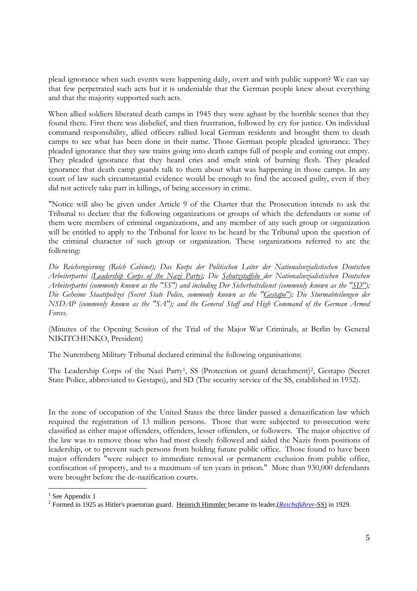plead ignorance when such events were happening daily, overt and with public support? We can say that few perpetrated such acts but it is undeniable that the German people knew about everything and that the majority supported such acts.

When allied soldiers liberated death camps in 1945 they were aghast by the horrible scenes that they found there. First there was disbelief, and then frustration, followed by cry for justice. On individual command responsibility, allied officers rallied local German residents and brought them to death camps to see what has been done in their name. Those German people pleaded ignorance. They pleaded ignorance that they saw trains going into death camps full of people and coming out empty. They pleaded ignorance that they heard cries and smelt stink of burning flesh. They pleaded ignorance that death camp guards talk to them about what was happening in those camps. In any court of law such circumstantial evidence would be enough to find the accused guilty, even if they did not actively take part in killings, of being accessory in crime.

"Notice will also be given under Article 9 of the Charter that the Prosecution intends to ask the Tribunal to declare that the following organizations or groups of which the defendants or some of them were members of criminal organizations, and any member of any such group or organization will be entitled to apply to the Tribunal for leave to be heard by the Tribunal upon the question of the criminal character of such group or organization. These organizations referred to are the following:

*Die Reichsregierung (Reich Cabinet); Das Korps der Politischen Leiter der Nationalsozialistischen Deutschen Arbeiterpartei (Leadership Corps of the Nazi Party); Die Schutzstaffeln der Nationalsozialistischen Deutschen Arbeiterpartei (commonly known as the "SS") and including Der Sicherheitsdienst (commonly known as the "SD"); Die Geheime Staatspolizei (Secret State Police, commonly known as the "Gestapo"); Die Sturmabteilungen der NSDAP (commonly known as the "SA"); and the General Staff and High Command of the German Armed Forces.*

(Minutes of the Opening Session of the Trial of the Major War Criminals, at Berlin by General NIKITCHENKO, President)

The Nuremberg Military Tribunal declared criminal the following organisations:

The Leadership Corps of the Nazi Party<sup>1</sup>, SS (Protection or guard detachment)<sup>2</sup>, Gestapo (Secret State Police, abbreviated to Gestapo), and SD (The security service of the SS, established in 1932).

In the zone of occupation of the United States the three länder passed a denazification law which required the registration of 13 million persons. Those that were subjected to prosecution were classified as either major offenders, offenders, lesser offenders, or followers. The major objective of the law was to remove those who had most closely followed and aided the Nazis from positions of leadership, or to prevent such persons from holding future public office. Those found to have been major offenders "were subject to immediate removal or permanent exclusion from public office, confiscation of property, and to a maximum of ten years in prison." More than 930,000 defendants were brought before the de-nazification courts.

<sup>&</sup>lt;sup>1</sup> See Appendix 1

<sup>2</sup> Formed in 1925 as Hitler's praetorian guard. Heinrich Himmler became its leader,(*Reichsführer*-SS) in 1929.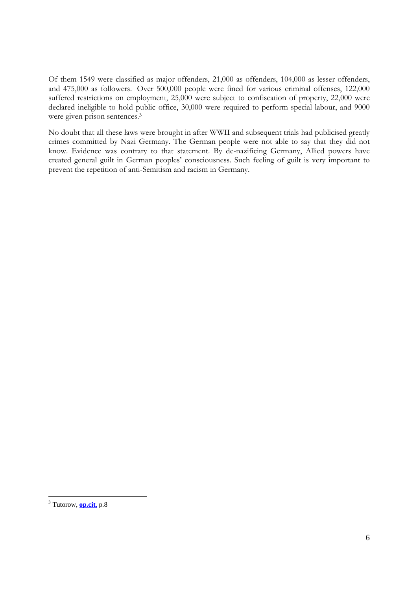Of them 1549 were classified as major offenders, 21,000 as offenders, 104,000 as lesser offenders, and 475,000 as followers. Over 500,000 people were fined for various criminal offenses, 122,000 suffered restrictions on employment, 25,000 were subject to confiscation of property, 22,000 were declared ineligible to hold public office, 30,000 were required to perform special labour, and 9000 were given prison sentences.<sup>3</sup>

No doubt that all these laws were brought in after WWII and subsequent trials had publicised greatly crimes committed by Nazi Germany. The German people were not able to say that they did not know. Evidence was contrary to that statement. By de-nazificing Germany, Allied powers have created general guilt in German peoples' consciousness. Such feeling of guilt is very important to prevent the repetition of anti-Semitism and racism in Germany.

 3 Tutorow, **op.cit**, p.8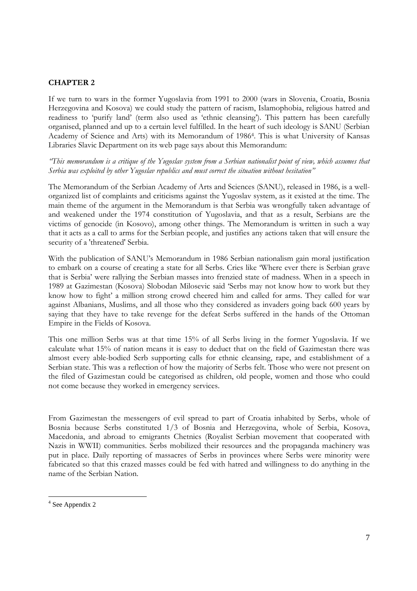#### **CHAPTER 2**

If we turn to wars in the former Yugoslavia from 1991 to 2000 (wars in Slovenia, Croatia, Bosnia Herzegovina and Kosova) we could study the pattern of racism, Islamophobia, religious hatred and readiness to 'purify land' (term also used as 'ethnic cleansing'). This pattern has been carefully organised, planned and up to a certain level fulfilled. In the heart of such ideology is SANU (Serbian Academy of Science and Arts) with its Memorandum of 1986<sup>4</sup> . This is what University of Kansas Libraries Slavic Department on its web page says about this Memorandum:

*"This memorandum is a critique of the Yugoslav system from a Serbian nationalist point of view, which assumes that Serbia was exploited by other Yugoslav republics and must correct the situation without hesitation"*

The Memorandum of the Serbian Academy of Arts and Sciences (SANU), released in 1986, is a wellorganized list of complaints and criticisms against the Yugoslav system, as it existed at the time. The main theme of the argument in the Memorandum is that Serbia was wrongfully taken advantage of and weakened under the 1974 constitution of Yugoslavia, and that as a result, Serbians are the victims of genocide (in Kosovo), among other things. The Memorandum is written in such a way that it acts as a call to arms for the Serbian people, and justifies any actions taken that will ensure the security of a 'threatened' Serbia.

With the publication of SANU's Memorandum in 1986 Serbian nationalism gain moral justification to embark on a course of creating a state for all Serbs. Cries like 'Where ever there is Serbian grave that is Serbia' were rallying the Serbian masses into frenzied state of madness. When in a speech in 1989 at Gazimestan (Kosova) Slobodan Milosevic said 'Serbs may not know how to work but they know how to fight' a million strong crowd cheered him and called for arms. They called for war against Albanians, Muslims, and all those who they considered as invaders going back 600 years by saying that they have to take revenge for the defeat Serbs suffered in the hands of the Ottoman Empire in the Fields of Kosova.

This one million Serbs was at that time 15% of all Serbs living in the former Yugoslavia. If we calculate what 15% of nation means it is easy to deduct that on the field of Gazimestan there was almost every able-bodied Serb supporting calls for ethnic cleansing, rape, and establishment of a Serbian state. This was a reflection of how the majority of Serbs felt. Those who were not present on the filed of Gazimestan could be categorised as children, old people, women and those who could not come because they worked in emergency services.

From Gazimestan the messengers of evil spread to part of Croatia inhabited by Serbs, whole of Bosnia because Serbs constituted 1/3 of Bosnia and Herzegovina, whole of Serbia, Kosova, Macedonia, and abroad to emigrants Chetnics (Royalist Serbian movement that cooperated with Nazis in WWII) communities. Serbs mobilized their resources and the propaganda machinery was put in place. Daily reporting of massacres of Serbs in provinces where Serbs were minority were fabricated so that this crazed masses could be fed with hatred and willingness to do anything in the name of the Serbian Nation.

<sup>4</sup> See Appendix 2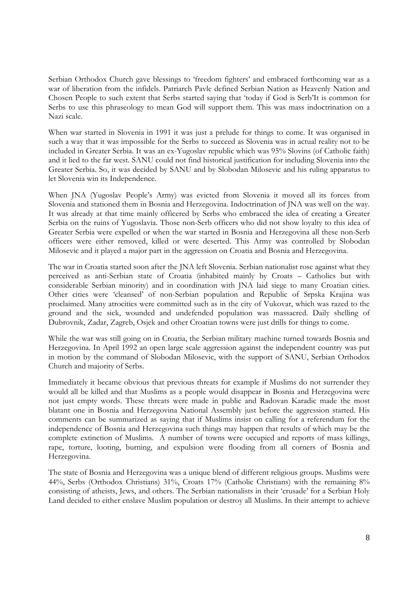Serbian Orthodox Church gave blessings to 'freedom fighters' and embraced forthcoming war as a war of liberation from the infidels. Patriarch Pavle defined Serbian Nation as Heavenly Nation and Chosen People to such extent that Serbs started saying that 'today if God is Serb'It is common for Serbs to use this phraseology to mean God will support them. This was mass indoctrination on a Nazi scale.

When war started in Slovenia in 1991 it was just a prelude for things to come. It was organised in such a way that it was impossible for the Serbs to succeed as Slovenia was in actual reality not to be included in Greater Serbia. It was an ex-Yugoslav republic which was 95% Slovins (of Catholic faith) and it lied to the far west. SANU could not find historical justification for including Slovenia into the Greater Serbia. So, it was decided by SANU and by Slobodan Milosevic and his ruling apparatus to let Slovenia win its Independence.

When JNA (Yugoslav People's Army) was evicted from Slovenia it moved all its forces from Slovenia and stationed them in Bosnia and Herzegovina. Indoctrination of JNA was well on the way. It was already at that time mainly officered by Serbs who embraced the idea of creating a Greater Serbia on the ruins of Yugoslavia. Those non-Serb officers who did not show loyalty to this idea of Greater Serbia were expelled or when the war started in Bosnia and Herzegovina all these non-Serb officers were either removed, killed or were deserted. This Army was controlled by Slobodan Milosevic and it played a major part in the aggression on Croatia and Bosnia and Herzegovina.

The war in Croatia started soon after the JNA left Slovenia. Serbian nationalist rose against what they perceived as anti-Serbian state of Croatia (inhabited mainly by Croats – Catholics but with considerable Serbian minority) and in coordination with JNA laid siege to many Croatian cities. Other cities were 'cleansed' of non-Serbian population and Republic of Srpska Krajina was proclaimed. Many atrocities were committed such as in the city of Vukovar, which was razed to the ground and the sick, wounded and undefended population was massacred. Daily shelling of Dubrovnik, Zadar, Zagreb, Osjek and other Croatian towns were just drills for things to come.

While the war was still going on in Croatia, the Serbian military machine turned towards Bosnia and Herzegovina. In April 1992 an open large scale aggression against the independent country was put in motion by the command of Slobodan Milosevic, with the support of SANU, Serbian Orthodox Church and majority of Serbs.

Immediately it became obvious that previous threats for example if Muslims do not surrender they would all be killed and that Muslims as a people would disappear in Bosnia and Herzegovina were not just empty words. These threats were made in public and Radovan Karadic made the most blatant one in Bosnia and Herzegovina National Assembly just before the aggression started. His comments can be summarized as saying that if Muslims insist on calling for a referendum for the independence of Bosnia and Herzegovina such things may happen that results of which may be the complete extinction of Muslims. A number of towns were occupied and reports of mass killings, rape, torture, looting, burning, and expulsion were flooding from all corners of Bosnia and Herzegovina.

The state of Bosnia and Herzegovina was a unique blend of different religious groups. Muslims were 44%, Serbs (Orthodox Christians) 31%, Croats 17% (Catholic Christians) with the remaining 8% consisting of atheists, Jews, and others. The Serbian nationalists in their 'crusade' for a Serbian Holy Land decided to either enslave Muslim population or destroy all Muslims. In their attempt to achieve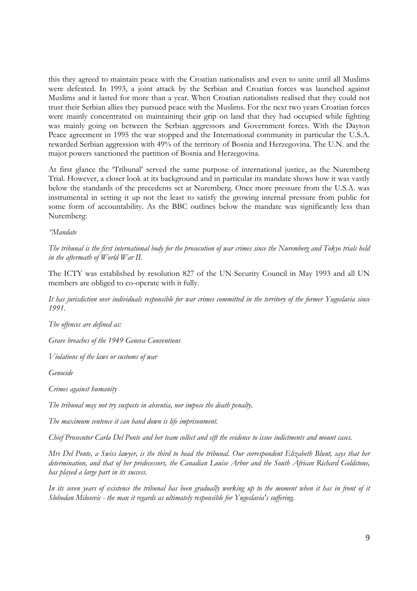this they agreed to maintain peace with the Croatian nationalists and even to unite until all Muslims were defeated. In 1993, a joint attack by the Serbian and Croatian forces was launched against Muslims and it lasted for more than a year. When Croatian nationalists realised that they could not trust their Serbian allies they pursued peace with the Muslims. For the next two years Croatian forces were mainly concentrated on maintaining their grip on land that they had occupied while fighting was mainly going on between the Serbian aggressors and Government forces. With the Dayton Peace agreement in 1995 the war stopped and the International community in particular the U.S.A. rewarded Serbian aggression with 49% of the territory of Bosnia and Herzegovina. The U.N. and the major powers sanctioned the partition of Bosnia and Herzegovina.

At first glance the 'Tribunal' served the same purpose of international justice, as the Nuremberg Trial. However, a closer look at its background and in particular its mandate shows how it was vastly below the standards of the precedents set at Nuremberg. Once more pressure from the U.S.A. was instrumental in setting it up not the least to satisfy the growing internal pressure from public for some form of accountability. As the BBC outlines below the mandate was significantly less than Nuremberg:

*"Mandate* 

*The tribunal is the first international body for the prosecution of war crimes since the Nuremberg and Tokyo trials held in the aftermath of World War II.* 

The ICTY was established by resolution 827 of the UN Security Council in May 1993 and all UN members are obliged to co-operate with it fully.

*It has jurisdiction over individuals responsible for war crimes committed in the territory of the former Yugoslavia since 1991.* 

*The offences are defined as:* 

*Grave breaches of the 1949 Geneva Conventions* 

*Violations of the laws or customs of war* 

*Genocide* 

*Crimes against humanity*

*The tribunal may not try suspects in absentia, nor impose the death penalty.* 

*The maximum sentence it can hand down is life imprisonment.* 

*Chief Prosecutor Carla Del Ponte and her team collect and sift the evidence to issue indictments and mount cases.* 

*Mrs Del Ponte, a Swiss lawyer, is the third to head the tribunal. Our correspondent Elizabeth Blunt, says that her determination, and that of her predecessors, the Canadian Louise Arbor and the South African Richard Goldstone, has played a large part in its success.* 

*In its seven years of existence the tribunal has been gradually working up to the moment when it has in front of it Slobodan Milosevic - the man it regards as ultimately responsible for Yugoslavia's suffering.*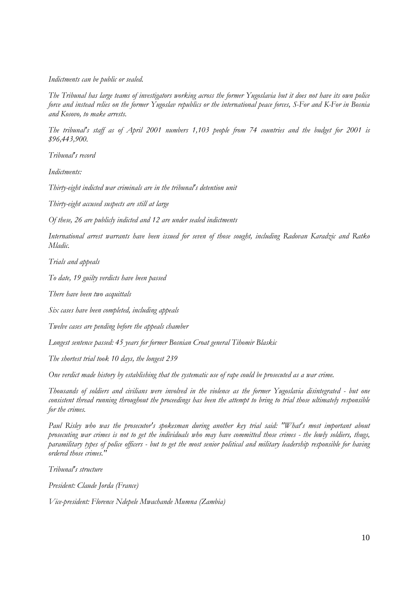#### *Indictments can be public or sealed.*

*The Tribunal has large teams of investigators working across the former Yugoslavia but it does not have its own police force and instead relies on the former Yugoslav republics or the international peace forces, S-For and K-For in Bosnia and Kosovo, to make arrests.* 

*The tribunal's staff as of April 2001 numbers 1,103 people from 74 countries and the budget for 2001 is \$96,443,900.* 

*Tribunal's record* 

*Indictments:* 

*Thirty-eight indicted war criminals are in the tribunal's detention unit* 

*Thirty-eight accused suspects are still at large* 

*Of these, 26 are publicly indicted and 12 are under sealed indictments* 

*International arrest warrants have been issued for seven of those sought, including Radovan Karadzic and Ratko Mladic.*

*Trials and appeals* 

*To date, 19 guilty verdicts have been passed* 

*There have been two acquittals* 

*Six cases have been completed, including appeals* 

*Twelve cases are pending before the appeals chamber* 

*Longest sentence passed: 45 years for former Bosnian Croat general Tihomir Blaskic* 

*The shortest trial took 10 days, the longest 239*

*One verdict made history by establishing that the systematic use of rape could be prosecuted as a war crime.* 

*Thousands of soldiers and civilians were involved in the violence as the former Yugoslavia disintegrated - but one consistent thread running throughout the proceedings has been the attempt to bring to trial those ultimately responsible for the crimes.* 

*Paul Risley who was the prosecutor's spokesman during another key trial said: "What's most important about prosecuting war crimes is not to get the individuals who may have committed those crimes - the lowly soldiers, thugs, paramilitary types of police officers - but to get the most senior political and military leadership responsible for having ordered those crimes."* 

*Tribunal's structure* 

*President: Claude Jorda (France)* 

*Vice-president: Florence Ndepele Mwachande Mumna (Zambia)*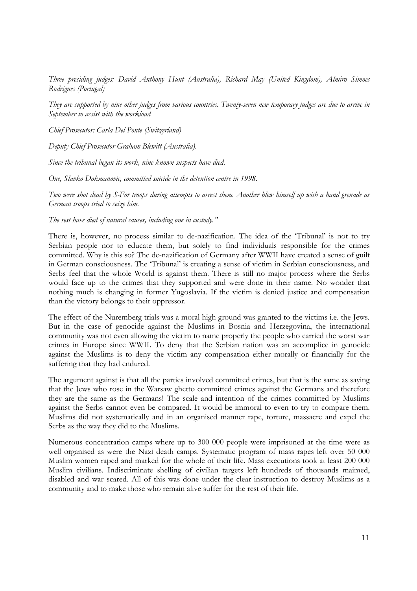*Three presiding judges: David Anthony Hunt (Australia), Richard May (United Kingdom), Almiro Simoes Rodrigues (Portugal)* 

*They are supported by nine other judges from various countries. Twenty-seven new temporary judges are due to arrive in September to assist with the workload* 

*Chief Prosecutor: Carla Del Ponte (Switzerland)* 

*Deputy Chief Prosecutor Graham Blewitt (Australia).*

*Since the tribunal began its work, nine known suspects have died.* 

*One, Slavko Dokmanovic, committed suicide in the detention centre in 1998.* 

*Two were shot dead by S-For troops during attempts to arrest them. Another blew himself up with a hand grenade as German troops tried to seize him.* 

*The rest have died of natural causes, including one in custody."* 

There is, however, no process similar to de-nazification. The idea of the 'Tribunal' is not to try Serbian people nor to educate them, but solely to find individuals responsible for the crimes committed. Why is this so? The de-nazification of Germany after WWII have created a sense of guilt in German consciousness. The 'Tribunal' is creating a sense of victim in Serbian consciousness, and Serbs feel that the whole World is against them. There is still no major process where the Serbs would face up to the crimes that they supported and were done in their name. No wonder that nothing much is changing in former Yugoslavia. If the victim is denied justice and compensation than the victory belongs to their oppressor.

The effect of the Nuremberg trials was a moral high ground was granted to the victims i.e. the Jews. But in the case of genocide against the Muslims in Bosnia and Herzegovina, the international community was not even allowing the victim to name properly the people who carried the worst war crimes in Europe since WWII. To deny that the Serbian nation was an accomplice in genocide against the Muslims is to deny the victim any compensation either morally or financially for the suffering that they had endured.

The argument against is that all the parties involved committed crimes, but that is the same as saying that the Jews who rose in the Warsaw ghetto committed crimes against the Germans and therefore they are the same as the Germans! The scale and intention of the crimes committed by Muslims against the Serbs cannot even be compared. It would be immoral to even to try to compare them. Muslims did not systematically and in an organised manner rape, torture, massacre and expel the Serbs as the way they did to the Muslims.

Numerous concentration camps where up to 300 000 people were imprisoned at the time were as well organised as were the Nazi death camps. Systematic program of mass rapes left over 50 000 Muslim women raped and marked for the whole of their life. Mass executions took at least 200 000 Muslim civilians. Indiscriminate shelling of civilian targets left hundreds of thousands maimed, disabled and war scared. All of this was done under the clear instruction to destroy Muslims as a community and to make those who remain alive suffer for the rest of their life.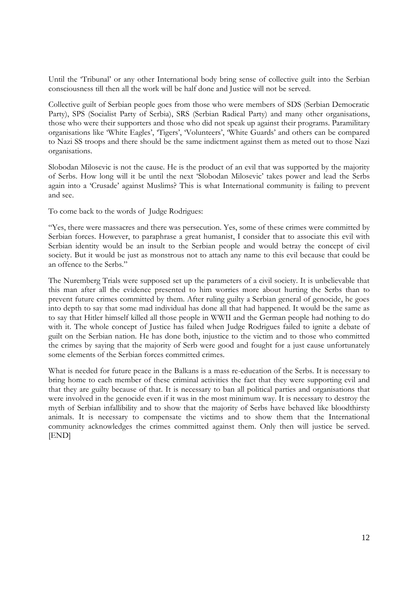Until the 'Tribunal' or any other International body bring sense of collective guilt into the Serbian consciousness till then all the work will be half done and Justice will not be served.

Collective guilt of Serbian people goes from those who were members of SDS (Serbian Democratic Party), SPS (Socialist Party of Serbia), SRS (Serbian Radical Party) and many other organisations, those who were their supporters and those who did not speak up against their programs. Paramilitary organisations like 'White Eagles', 'Tigers', 'Volunteers', 'White Guards' and others can be compared to Nazi SS troops and there should be the same indictment against them as meted out to those Nazi organisations.

Slobodan Milosevic is not the cause. He is the product of an evil that was supported by the majority of Serbs. How long will it be until the next 'Slobodan Milosevic' takes power and lead the Serbs again into a 'Crusade' against Muslims? This is what International community is failing to prevent and see.

To come back to the words of Judge Rodrigues:

"Yes, there were massacres and there was persecution. Yes, some of these crimes were committed by Serbian forces. However, to paraphrase a great humanist, I consider that to associate this evil with Serbian identity would be an insult to the Serbian people and would betray the concept of civil society. But it would be just as monstrous not to attach any name to this evil because that could be an offence to the Serbs."

The Nuremberg Trials were supposed set up the parameters of a civil society. It is unbelievable that this man after all the evidence presented to him worries more about hurting the Serbs than to prevent future crimes committed by them. After ruling guilty a Serbian general of genocide, he goes into depth to say that some mad individual has done all that had happened. It would be the same as to say that Hitler himself killed all those people in WWII and the German people had nothing to do with it. The whole concept of Justice has failed when Judge Rodrigues failed to ignite a debate of guilt on the Serbian nation. He has done both, injustice to the victim and to those who committed the crimes by saying that the majority of Serb were good and fought for a just cause unfortunately some elements of the Serbian forces committed crimes.

What is needed for future peace in the Balkans is a mass re-education of the Serbs. It is necessary to bring home to each member of these criminal activities the fact that they were supporting evil and that they are guilty because of that. It is necessary to ban all political parties and organisations that were involved in the genocide even if it was in the most minimum way. It is necessary to destroy the myth of Serbian infallibility and to show that the majority of Serbs have behaved like bloodthirsty animals. It is necessary to compensate the victims and to show them that the International community acknowledges the crimes committed against them. Only then will justice be served. [END]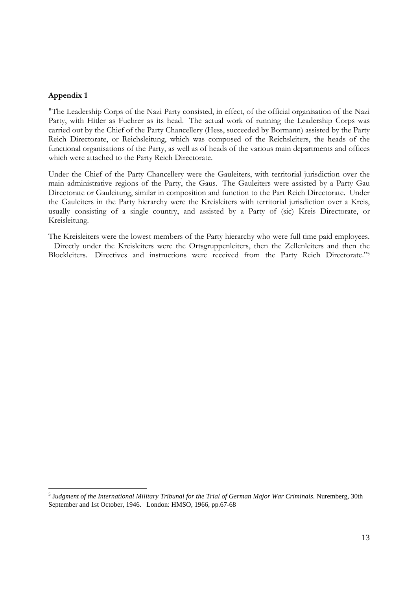#### **Appendix 1**

"The Leadership Corps of the Nazi Party consisted, in effect, of the official organisation of the Nazi Party, with Hitler as Fuehrer as its head. The actual work of running the Leadership Corps was carried out by the Chief of the Party Chancellery (Hess, succeeded by Bormann) assisted by the Party Reich Directorate, or Reichsleitung, which was composed of the Reichsleiters, the heads of the functional organisations of the Party, as well as of heads of the various main departments and offices which were attached to the Party Reich Directorate.

Under the Chief of the Party Chancellery were the Gauleiters, with territorial jurisdiction over the main administrative regions of the Party, the Gaus. The Gauleiters were assisted by a Party Gau Directorate or Gauleitung, similar in composition and function to the Part Reich Directorate. Under the Gauleiters in the Party hierarchy were the Kreisleiters with territorial jurisdiction over a Kreis, usually consisting of a single country, and assisted by a Party of (sic) Kreis Directorate, or Kreisleitung.

The Kreisleiters were the lowest members of the Party hierarchy who were full time paid employees. Directly under the Kreisleiters were the Ortsgruppenleiters, then the Zellenleiters and then the Blockleiters. Directives and instructions were received from the Party Reich Directorate."<sup>5</sup>

<sup>&</sup>lt;sup>5</sup> Judgment of the International Military Tribunal for the Trial of German Major War Criminals. Nuremberg, 30th September and 1st October, 1946. London: HMSO, 1966, pp.67-68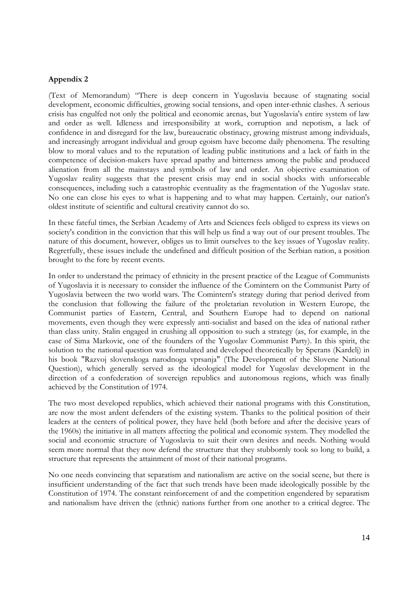#### **Appendix 2**

(Text of Memorandum) "There is deep concern in Yugoslavia because of stagnating social development, economic difficulties, growing social tensions, and open inter-ethnic clashes. A serious crisis has engulfed not only the political and economic arenas, but Yugoslavia's entire system of law and order as well. Idleness and irresponsibility at work, corruption and nepotism, a lack of confidence in and disregard for the law, bureaucratic obstinacy, growing mistrust among individuals, and increasingly arrogant individual and group egoism have become daily phenomena. The resulting blow to moral values and to the reputation of leading public institutions and a lack of faith in the competence of decision-makers have spread apathy and bitterness among the public and produced alienation from all the mainstays and symbols of law and order. An objective examination of Yugoslav reality suggests that the present crisis may end in social shocks with unforseeable consequences, including such a catastrophic eventuality as the fragmentation of the Yugoslav state. No one can close his eyes to what is happening and to what may happen. Certainly, our nation's oldest institute of scientific and cultural creativity cannot do so.

In these fateful times, the Serbian Academy of Arts and Sciences feels obliged to express its views on society's condition in the conviction that this will help us find a way out of our present troubles. The nature of this document, however, obliges us to limit ourselves to the key issues of Yugoslav reality. Regretfully, these issues include the undefined and difficult position of the Serbian nation, a position brought to the fore by recent events.

In order to understand the primacy of ethnicity in the present practice of the League of Communists of Yugoslavia it is necessary to consider the influence of the Comintern on the Communist Party of Yugoslavia between the two world wars. The Comintern's strategy during that period derived from the conclusion that following the failure of the proletarian revolution in Western Europe, the Communist parties of Eastern, Central, and Southern Europe had to depend on national movements, even though they were expressly anti-socialist and based on the idea of national rather than class unity. Stalin engaged in crushing all opposition to such a strategy (as, for example, in the case of Sima Markovic, one of the founders of the Yugoslav Communist Party). In this spirit, the solution to the national question was formulated and developed theoretically by Sperans (Kardelj) in his book "Razvoj slovenskoga narodnoga vprsanja" (The Development of the Slovene National Question), which generally served as the ideological model for Yugoslav development in the direction of a confederation of sovereign republics and autonomous regions, which was finally achieved by the Constitution of 1974.

The two most developed republics, which achieved their national programs with this Constitution, are now the most ardent defenders of the existing system. Thanks to the political position of their leaders at the centers of political power, they have held (both before and after the decisive years of the 1960s) the initiative in all matters affecting the political and economic system. They modelled the social and economic structure of Yugoslavia to suit their own desires and needs. Nothing would seem more normal that they now defend the structure that they stubbornly took so long to build, a structure that represents the attainment of most of their national programs.

No one needs convincing that separatism and nationalism are active on the social scene, but there is insufficient understanding of the fact that such trends have been made ideologically possible by the Constitution of 1974. The constant reinforcement of and the competition engendered by separatism and nationalism have driven the (ethnic) nations further from one another to a critical degree. The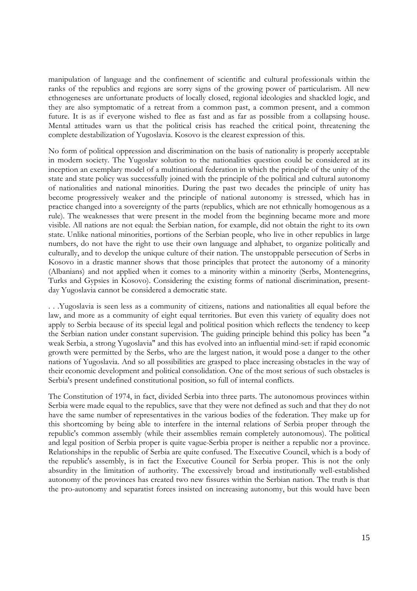manipulation of language and the confinement of scientific and cultural professionals within the ranks of the republics and regions are sorry signs of the growing power of particularism. All new ethnogeneses are unfortunate products of locally closed, regional ideologies and shackled logic, and they are also symptomatic of a retreat from a common past, a common present, and a common future. It is as if everyone wished to flee as fast and as far as possible from a collapsing house. Mental attitudes warn us that the political crisis has reached the critical point, threatening the complete destabilization of Yugoslavia. Kosovo is the clearest expression of this.

No form of political oppression and discrimination on the basis of nationality is properly acceptable in modern society. The Yugoslav solution to the nationalities question could be considered at its inception an exemplary model of a multinational federation in which the principle of the unity of the state and state policy was successfully joined with the principle of the political and cultural autonomy of nationalities and national minorities. During the past two decades the principle of unity has become progressively weaker and the principle of national autonomy is stressed, which has in practice changed into a sovereignty of the parts (republics, which are not ethnically homogenous as a rule). The weaknesses that were present in the model from the beginning became more and more visible. All nations are not equal: the Serbian nation, for example, did not obtain the right to its own state. Unlike national minorities, portions of the Serbian people, who live in other republics in large numbers, do not have the right to use their own language and alphabet, to organize politically and culturally, and to develop the unique culture of their nation. The unstoppable persecution of Serbs in Kosovo in a drastic manner shows that those principles that protect the autonomy of a minority (Albanians) and not applied when it comes to a minority within a minority (Serbs, Montenegrins, Turks and Gypsies in Kosovo). Considering the existing forms of national discrimination, presentday Yugoslavia cannot be considered a democratic state.

. . .Yugoslavia is seen less as a community of citizens, nations and nationalities all equal before the law, and more as a community of eight equal territories. But even this variety of equality does not apply to Serbia because of its special legal and political position which reflects the tendency to keep the Serbian nation under constant supervision. The guiding principle behind this policy has been "a weak Serbia, a strong Yugoslavia" and this has evolved into an influential mind-set: if rapid economic growth were permitted by the Serbs, who are the largest nation, it would pose a danger to the other nations of Yugoslavia. And so all possibilities are grasped to place increasing obstacles in the way of their economic development and political consolidation. One of the most serious of such obstacles is Serbia's present undefined constitutional position, so full of internal conflicts.

The Constitution of 1974, in fact, divided Serbia into three parts. The autonomous provinces within Serbia were made equal to the republics, save that they were not defined as such and that they do not have the same number of representatives in the various bodies of the federation. They make up for this shortcoming by being able to interfere in the internal relations of Serbia proper through the republic's common assembly (while their assemblies remain completely autonomous). The political and legal position of Serbia proper is quite vague-Serbia proper is neither a republic nor a province. Relationships in the republic of Serbia are quite confused. The Executive Council, which is a body of the republic's assembly, is in fact the Executive Council for Serbia proper. This is not the only absurdity in the limitation of authority. The excessively broad and institutionally well-established autonomy of the provinces has created two new fissures within the Serbian nation. The truth is that the pro-autonomy and separatist forces insisted on increasing autonomy, but this would have been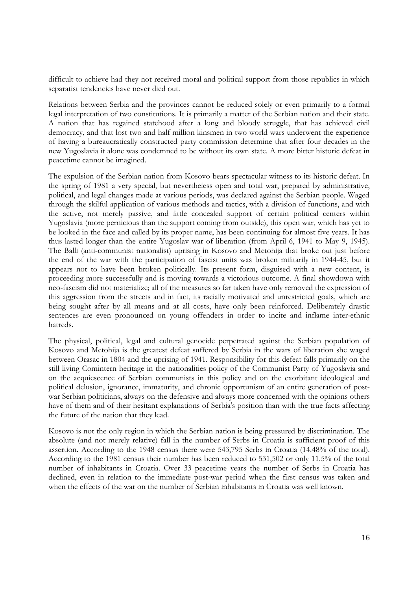difficult to achieve had they not received moral and political support from those republics in which separatist tendencies have never died out.

Relations between Serbia and the provinces cannot be reduced solely or even primarily to a formal legal interpretation of two constitutions. It is primarily a matter of the Serbian nation and their state. A nation that has regained statehood after a long and bloody struggle, that has achieved civil democracy, and that lost two and half million kinsmen in two world wars underwent the experience of having a bureaucratically constructed party commission determine that after four decades in the new Yugoslavia it alone was condemned to be without its own state. A more bitter historic defeat in peacetime cannot be imagined.

The expulsion of the Serbian nation from Kosovo bears spectacular witness to its historic defeat. In the spring of 1981 a very special, but nevertheless open and total war, prepared by administrative, political, and legal changes made at various periods, was declared against the Serbian people. Waged through the skilful application of various methods and tactics, with a division of functions, and with the active, not merely passive, and little concealed support of certain political centers within Yugoslavia (more pernicious than the support coming from outside), this open war, which has yet to be looked in the face and called by its proper name, has been continuing for almost five years. It has thus lasted longer than the entire Yugoslav war of liberation (from April 6, 1941 to May 9, 1945). The Balli (anti-communist nationalist) uprising in Kosovo and Metohija that broke out just before the end of the war with the participation of fascist units was broken militarily in 1944-45, but it appears not to have been broken politically. Its present form, disguised with a new content, is proceeding more successfully and is moving towards a victorious outcome. A final showdown with neo-fascism did not materialize; all of the measures so far taken have only removed the expression of this aggression from the streets and in fact, its racially motivated and unrestricted goals, which are being sought after by all means and at all costs, have only been reinforced. Deliberately drastic sentences are even pronounced on young offenders in order to incite and inflame inter-ethnic hatreds.

The physical, political, legal and cultural genocide perpetrated against the Serbian population of Kosovo and Metohija is the greatest defeat suffered by Serbia in the wars of liberation she waged between Orasac in 1804 and the uprising of 1941. Responsibility for this defeat falls primarily on the still living Comintern heritage in the nationalities policy of the Communist Party of Yugoslavia and on the acquiescence of Serbian communists in this policy and on the exorbitant ideological and political delusion, ignorance, immaturity, and chronic opportunism of an entire generation of postwar Serbian politicians, always on the defensive and always more concerned with the opinions others have of them and of their hesitant explanations of Serbia's position than with the true facts affecting the future of the nation that they lead.

Kosovo is not the only region in which the Serbian nation is being pressured by discrimination. The absolute (and not merely relative) fall in the number of Serbs in Croatia is sufficient proof of this assertion. According to the 1948 census there were 543,795 Serbs in Croatia (14.48% of the total). According to the 1981 census their number has been reduced to 531,502 or only 11.5% of the total number of inhabitants in Croatia. Over 33 peacetime years the number of Serbs in Croatia has declined, even in relation to the immediate post-war period when the first census was taken and when the effects of the war on the number of Serbian inhabitants in Croatia was well known.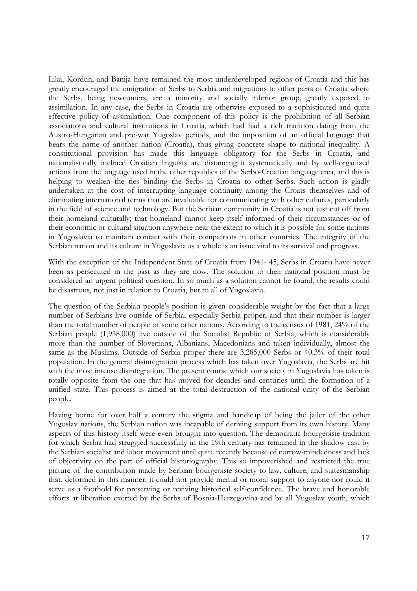Lika, Kordun, and Banija have remained the most underdeveloped regions of Croatia and this has greatly encouraged the emigration of Serbs to Serbia and migrations to other parts of Croatia where the Serbs, being newcomers, are a minority and socially inferior group, greatly exposed to assimilation. In any case, the Serbs in Croatia are otherwise exposed to a sophisticated and quite effective policy of assimilation. One component of this policy is the prohibition of all Serbian associations and cultural institutions in Croatia, which had had a rich tradition dating from the Austro-Hungarian and pre-war Yugoslav periods, and the imposition of an official language that bears the name of another nation (Croatia), thus giving concrete shape to national inequality. A constitutional provision has made this language obligatory for the Serbs in Croatia, and nationalistically inclined Croatian linguists are distancing it systematically and by well-organized actions from the language used in the other republics of the Serbo-Croatian language area, and this is helping to weaken the ties binding the Serbs in Croatia to other Serbs. Such action is gladly undertaken at the cost of interrupting language continuity among the Croats themselves and of eliminating international terms that are invaluable for communicating with other cultures, particularly in the field of science and technology. But the Serbian community in Croatia is not just cut off from their homeland culturally; that homeland cannot keep itself informed of their circumstances or of their economic or cultural situation anywhere near the extent to which it is possible for some nations in Yugoslavia to maintain contact with their compatriots in other countries. The integrity of the Serbian nation and its culture in Yugoslavia as a whole is an issue vital to its survival and progress.

With the exception of the Independent State of Croatia from 1941- 45, Serbs in Croatia have never been as persecuted in the past as they are now. The solution to their national position must be considered an urgent political question. In so much as a solution cannot be found, the results could be disastrous, not just in relation to Croatia, but to all of Yugoslavia.

The question of the Serbian people's position is given considerable weight by the fact that a large number of Serbians live outside of Serbia, especially Serbia proper, and that their number is larger than the total number of people of some other nations. According to the census of 1981, 24% of the Serbian people (1,958,000) live outside of the Socialist Republic of Serbia, which is considerably more than the number of Slovenians, Albanians, Macedonians and taken individually, almost the same as the Muslims. Outside of Serbia proper there are 3,285,000 Serbs or 40.3% of their total population. In the general disintegration process which has taken over Yugoslavia, the Serbs are hit with the most intense disintegration. The present course which our society in Yugoslavia has taken is totally opposite from the one that has moved for decades and centuries until the formation of a unified state. This process is aimed at the total destruction of the national unity of the Serbian people.

Having borne for over half a century the stigma and handicap of being the jailer of the other Yugoslav nations, the Serbian nation was incapable of deriving support from its own history. Many aspects of this history itself were even brought into question. The democratic bourgeoisie tradition for which Serbia had struggled successfully in the 19th century has remained in the shadow cast by the Serbian socialist and labor movement until quite recently because of narrow-mindedness and lack of objectivity on the part of official historiography. This so impoverished and restricted the true picture of the contribution made by Serbian bourgeoisie society to law, culture, and statesmanship that, deformed in this manner, it could not provide mental or moral support to anyone nor could it serve as a foothold for preserving or reviving historical self-confidence. The brave and honorable efforts at liberation exerted by the Serbs of Bosnia-Herzegovina and by all Yugoslav youth, which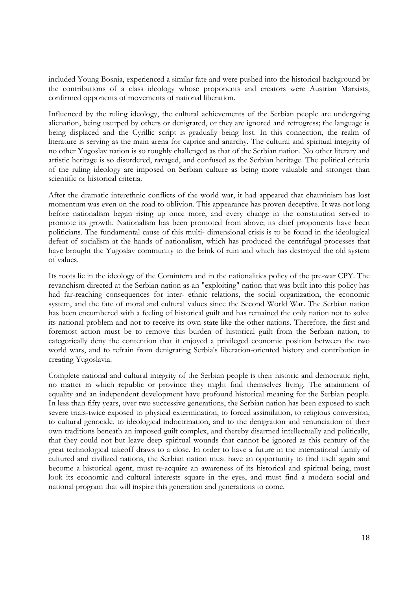included Young Bosnia, experienced a similar fate and were pushed into the historical background by the contributions of a class ideology whose proponents and creators were Austrian Marxists, confirmed opponents of movements of national liberation.

Influenced by the ruling ideology, the cultural achievements of the Serbian people are undergoing alienation, being usurped by others or denigrated, or they are ignored and retrogress; the language is being displaced and the Cyrillic script is gradually being lost. In this connection, the realm of literature is serving as the main arena for caprice and anarchy. The cultural and spiritual integrity of no other Yugoslav nation is so roughly challenged as that of the Serbian nation. No other literary and artistic heritage is so disordered, ravaged, and confused as the Serbian heritage. The political criteria of the ruling ideology are imposed on Serbian culture as being more valuable and stronger than scientific or historical criteria.

After the dramatic interethnic conflicts of the world war, it had appeared that chauvinism has lost momentum was even on the road to oblivion. This appearance has proven deceptive. It was not long before nationalism began rising up once more, and every change in the constitution served to promote its growth. Nationalism has been promoted from above; its chief proponents have been politicians. The fundamental cause of this multi- dimensional crisis is to be found in the ideological defeat of socialism at the hands of nationalism, which has produced the centrifugal processes that have brought the Yugoslav community to the brink of ruin and which has destroyed the old system of values.

Its roots lie in the ideology of the Comintern and in the nationalities policy of the pre-war CPY. The revanchism directed at the Serbian nation as an "exploiting" nation that was built into this policy has had far-reaching consequences for inter- ethnic relations, the social organization, the economic system, and the fate of moral and cultural values since the Second World War. The Serbian nation has been encumbered with a feeling of historical guilt and has remained the only nation not to solve its national problem and not to receive its own state like the other nations. Therefore, the first and foremost action must be to remove this burden of historical guilt from the Serbian nation, to categorically deny the contention that it enjoyed a privileged economic position between the two world wars, and to refrain from denigrating Serbia's liberation-oriented history and contribution in creating Yugoslavia.

Complete national and cultural integrity of the Serbian people is their historic and democratic right, no matter in which republic or province they might find themselves living. The attainment of equality and an independent development have profound historical meaning for the Serbian people. In less than fifty years, over two successive generations, the Serbian nation has been exposed to such severe trials-twice exposed to physical extermination, to forced assimilation, to religious conversion, to cultural genocide, to ideological indoctrination, and to the denigration and renunciation of their own traditions beneath an imposed guilt complex, and thereby disarmed intellectually and politically, that they could not but leave deep spiritual wounds that cannot be ignored as this century of the great technological takeoff draws to a close. In order to have a future in the international family of cultured and civilized nations, the Serbian nation must have an opportunity to find itself again and become a historical agent, must re-acquire an awareness of its historical and spiritual being, must look its economic and cultural interests square in the eyes, and must find a modern social and national program that will inspire this generation and generations to come.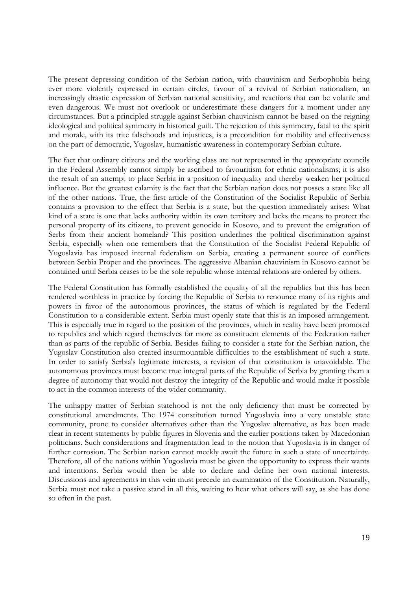The present depressing condition of the Serbian nation, with chauvinism and Serbophobia being ever more violently expressed in certain circles, favour of a revival of Serbian nationalism, an increasingly drastic expression of Serbian national sensitivity, and reactions that can be volatile and even dangerous. We must not overlook or underestimate these dangers for a moment under any circumstances. But a principled struggle against Serbian chauvinism cannot be based on the reigning ideological and political symmetry in historical guilt. The rejection of this symmetry, fatal to the spirit and morale, with its trite falsehoods and injustices, is a precondition for mobility and effectiveness on the part of democratic, Yugoslav, humanistic awareness in contemporary Serbian culture.

The fact that ordinary citizens and the working class are not represented in the appropriate councils in the Federal Assembly cannot simply be ascribed to favouritism for ethnic nationalisms; it is also the result of an attempt to place Serbia in a position of inequality and thereby weaken her political influence. But the greatest calamity is the fact that the Serbian nation does not posses a state like all of the other nations. True, the first article of the Constitution of the Socialist Republic of Serbia contains a provision to the effect that Serbia is a state, but the question immediately arises: What kind of a state is one that lacks authority within its own territory and lacks the means to protect the personal property of its citizens, to prevent genocide in Kosovo, and to prevent the emigration of Serbs from their ancient homeland? This position underlines the political discrimination against Serbia, especially when one remembers that the Constitution of the Socialist Federal Republic of Yugoslavia has imposed internal federalism on Serbia, creating a permanent source of conflicts between Serbia Proper and the provinces. The aggressive Albanian chauvinism in Kosovo cannot be contained until Serbia ceases to be the sole republic whose internal relations are ordered by others.

The Federal Constitution has formally established the equality of all the republics but this has been rendered worthless in practice by forcing the Republic of Serbia to renounce many of its rights and powers in favor of the autonomous provinces, the status of which is regulated by the Federal Constitution to a considerable extent. Serbia must openly state that this is an imposed arrangement. This is especially true in regard to the position of the provinces, which in reality have been promoted to republics and which regard themselves far more as constituent elements of the Federation rather than as parts of the republic of Serbia. Besides failing to consider a state for the Serbian nation, the Yugoslav Constitution also created insurmountable difficulties to the establishment of such a state. In order to satisfy Serbia's legitimate interests, a revision of that constitution is unavoidable. The autonomous provinces must become true integral parts of the Republic of Serbia by granting them a degree of autonomy that would not destroy the integrity of the Republic and would make it possible to act in the common interests of the wider community.

The unhappy matter of Serbian statehood is not the only deficiency that must be corrected by constitutional amendments. The 1974 constitution turned Yugoslavia into a very unstable state community, prone to consider alternatives other than the Yugoslav alternative, as has been made clear in recent statements by public figures in Slovenia and the earlier positions taken by Macedonian politicians. Such considerations and fragmentation lead to the notion that Yugoslavia is in danger of further corrosion. The Serbian nation cannot meekly await the future in such a state of uncertainty. Therefore, all of the nations within Yugoslavia must be given the opportunity to express their wants and intentions. Serbia would then be able to declare and define her own national interests. Discussions and agreements in this vein must precede an examination of the Constitution. Naturally, Serbia must not take a passive stand in all this, waiting to hear what others will say, as she has done so often in the past.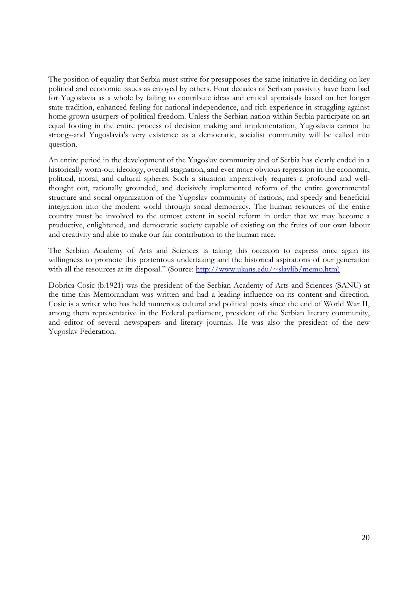The position of equality that Serbia must strive for presupposes the same initiative in deciding on key political and economic issues as enjoyed by others. Four decades of Serbian passivity have been bad for Yugoslavia as a whole by failing to contribute ideas and critical appraisals based on her longer state tradition, enhanced feeling for national independence, and rich experience in struggling against home-grown usurpers of political freedom. Unless the Serbian nation within Serbia participate on an equal footing in the entire process of decision making and implementation, Yugoslavia cannot be strong--and Yugoslavia's very existence as a democratic, socialist community will be called into question.

An entire period in the development of the Yugoslav community and of Serbia has clearly ended in a historically worn-out ideology, overall stagnation, and ever more obvious regression in the economic, political, moral, and cultural spheres. Such a situation imperatively requires a profound and wellthought out, rationally grounded, and decisively implemented reform of the entire governmental structure and social organization of the Yugoslav community of nations, and speedy and beneficial integration into the modern world through social democracy. The human resources of the entire country must be involved to the utmost extent in social reform in order that we may become a productive, enlightened, and democratic society capable of existing on the fruits of our own labour and creativity and able to make our fair contribution to the human race.

The Serbian Academy of Arts and Sciences is taking this occasion to express once again its willingness to promote this portentous undertaking and the historical aspirations of our generation with all the resources at its disposal." (Source: http://www.ukans.edu/~slavlib/memo.htm)

Dobrica Cosic (b.1921) was the president of the Serbian Academy of Arts and Sciences (SANU) at the time this Memorandum was written and had a leading influence on its content and direction. Cosic is a writer who has held numerous cultural and political posts since the end of World War II, among them representative in the Federal parliament, president of the Serbian literary community, and editor of several newspapers and literary journals. He was also the president of the new Yugoslav Federation.